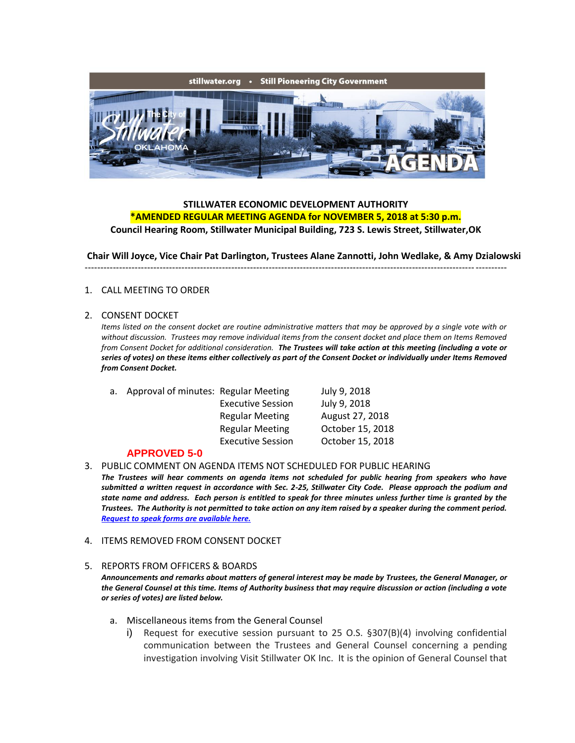

## **STILLWATER ECONOMIC DEVELOPMENT AUTHORITY \*AMENDED REGULAR MEETING AGENDA for NOVEMBER 5, 2018 at 5:30 p.m.**

**Council Hearing Room, Stillwater Municipal Building, 723 S. Lewis Street, Stillwater,OK**

**Chair Will Joyce, Vice Chair Pat Darlington, Trustees Alane Zannotti, John Wedlake, & Amy Dzialowski**

---------------------------------------------------------------------------------------------------------------------------------------

#### 1. CALL MEETING TO ORDER

#### 2. CONSENT DOCKET

*Items listed on the consent docket are routine administrative matters that may be approved by a single vote with or without discussion. Trustees may remove individual items from the consent docket and place them on Items Removed from Consent Docket for additional consideration. The Trustees will take action at this meeting (including a vote or series of votes) on these items either collectively as part of the Consent Docket or individually under Items Removed from Consent Docket.*

| а. | Approval of minutes: Regular Meeting |                          | July 9, 2018     |
|----|--------------------------------------|--------------------------|------------------|
|    |                                      | <b>Executive Session</b> | July 9, 2018     |
|    |                                      | <b>Regular Meeting</b>   | August 27, 2018  |
|    |                                      | <b>Regular Meeting</b>   | October 15, 2018 |
|    |                                      | <b>Executive Session</b> | October 15, 2018 |
|    |                                      |                          |                  |

#### **APPROVED 5-0**

- 3. PUBLIC COMMENT ON AGENDA ITEMS NOT SCHEDULED FOR PUBLIC HEARING *The Trustees will hear comments on agenda items not scheduled for public hearing from speakers who have submitted a written request in accordance with Sec. 2-25, Stillwater City Code. Please approach the podium and state name and address. Each person is entitled to speak for three minutes unless further time is granted by the Trustees. The Authority is not permitted to take action on any item raised by a speaker during the comment period. [Request to speak forms are available here.](http://stillwater.org/document/request_to_speak_at_city_council.php)*
- 4. ITEMS REMOVED FROM CONSENT DOCKET

### 5. REPORTS FROM OFFICERS & BOARDS

*Announcements and remarks about matters of general interest may be made by Trustees, the General Manager, or the General Counsel at this time. Items of Authority business that may require discussion or action (including a vote or series of votes) are listed below.*

- a. Miscellaneous items from the General Counsel
	- i) Request for executive session pursuant to 25 O.S.  $\S 307(B)(4)$  involving confidential communication between the Trustees and General Counsel concerning a pending investigation involving Visit Stillwater OK Inc. It is the opinion of General Counsel that